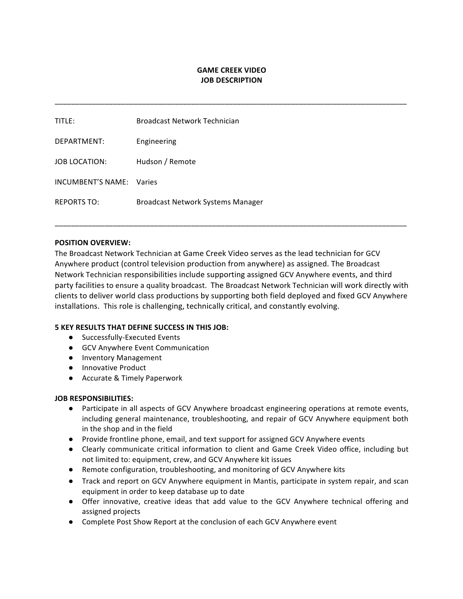# **GAME CREEK VIDEO JOB DESCRIPTION**

\_\_\_\_\_\_\_\_\_\_\_\_\_\_\_\_\_\_\_\_\_\_\_\_\_\_\_\_\_\_\_\_\_\_\_\_\_\_\_\_\_\_\_\_\_\_\_\_\_\_\_\_\_\_\_\_\_\_\_\_\_\_\_\_\_\_\_\_\_\_\_\_\_\_\_\_\_\_\_\_\_\_\_\_\_

| TITLF:                   | Broadcast Network Technician      |
|--------------------------|-----------------------------------|
| DEPARTMENT:              | Engineering                       |
| JOB LOCATION:            | Hudson / Remote                   |
| INCUMBENT'S NAME: Varies |                                   |
| REPORTS TO:              | Broadcast Network Systems Manager |

### **POSITION OVERVIEW:**

The Broadcast Network Technician at Game Creek Video serves as the lead technician for GCV Anywhere product (control television production from anywhere) as assigned. The Broadcast Network Technician responsibilities include supporting assigned GCV Anywhere events, and third party facilities to ensure a quality broadcast. The Broadcast Network Technician will work directly with clients to deliver world class productions by supporting both field deployed and fixed GCV Anywhere installations. This role is challenging, technically critical, and constantly evolving.

\_\_\_\_\_\_\_\_\_\_\_\_\_\_\_\_\_\_\_\_\_\_\_\_\_\_\_\_\_\_\_\_\_\_\_\_\_\_\_\_\_\_\_\_\_\_\_\_\_\_\_\_\_\_\_\_\_\_\_\_\_\_\_\_\_\_\_\_\_\_\_\_\_\_\_\_\_\_\_\_\_\_\_\_\_

## **5 KEY RESULTS THAT DEFINE SUCCESS IN THIS JOB:**

- Successfully-Executed Events
- GCV Anywhere Event Communication
- Inventory Management
- Innovative Product
- Accurate & Timely Paperwork

#### **JOB RESPONSIBILITIES:**

- Participate in all aspects of GCV Anywhere broadcast engineering operations at remote events, including general maintenance, troubleshooting, and repair of GCV Anywhere equipment both in the shop and in the field
- Provide frontline phone, email, and text support for assigned GCV Anywhere events
- Clearly communicate critical information to client and Game Creek Video office, including but not limited to: equipment, crew, and GCV Anywhere kit issues
- Remote configuration, troubleshooting, and monitoring of GCV Anywhere kits
- Track and report on GCV Anywhere equipment in Mantis, participate in system repair, and scan equipment in order to keep database up to date
- Offer innovative, creative ideas that add value to the GCV Anywhere technical offering and assigned projects
- Complete Post Show Report at the conclusion of each GCV Anywhere event